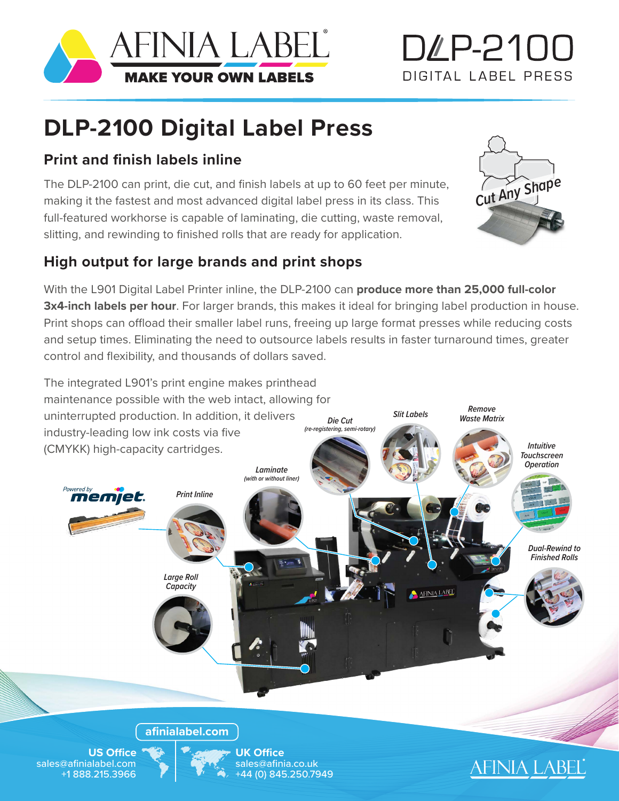

# D4P-2100 DIGITAL LABEL PRESS

## **DLP-2100 Digital Label Press**

#### **Print and finish labels inline**

The DLP-2100 can print, die cut, and finish labels at up to 60 feet per minute, making it the fastest and most advanced digital label press in its class. This full-featured workhorse is capable of laminating, die cutting, waste removal, slitting, and rewinding to finished rolls that are ready for application.



### **High output for large brands and print shops**

With the L901 Digital Label Printer inline, the DLP-2100 can **produce more than 25,000 full-color 3x4-inch labels per hour**. For larger brands, this makes it ideal for bringing label production in house. Print shops can offload their smaller label runs, freeing up large format presses while reducing costs and setup times. Eliminating the need to outsource labels results in faster turnaround times, greater control and flexibility, and thousands of dollars saved.